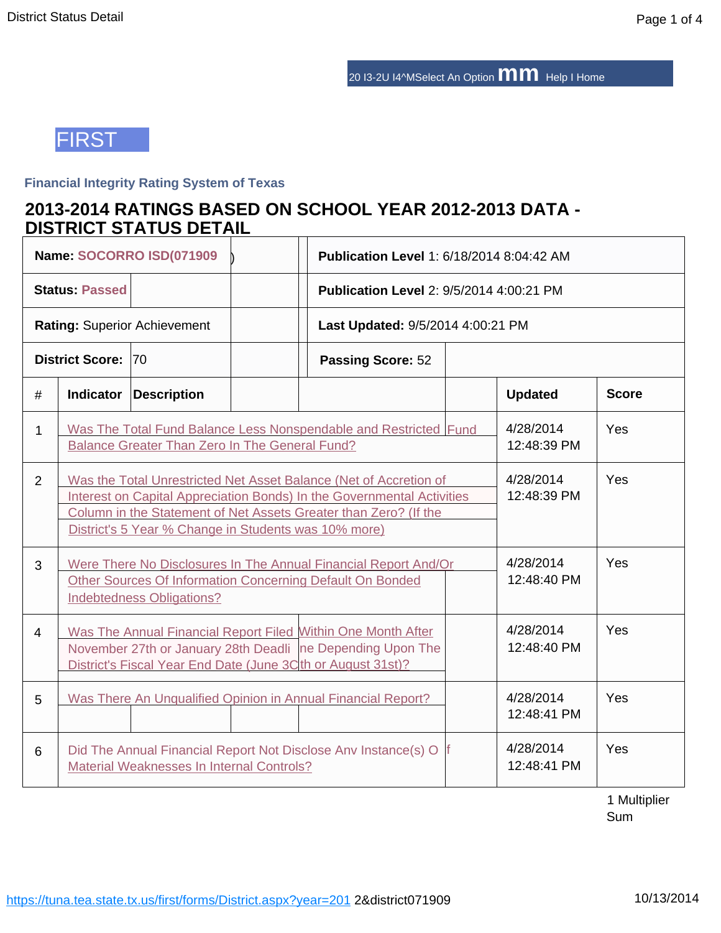20 I3-2U I4^MSelect An Option **mm** Help I Home



## **Financial Integrity Rating System of Texas**

# **2013-2014 RATINGS BASED ON SCHOOL YEAR 2012-2013 DATA - DISTRICT STATUS DETAIL**

|                                                                                                                                |                                                                                                                                                                                                                                                                         | Name: SOCORRO ISD(071909            |  | <b>Publication Level 1: 6/18/2014 8:04:42 AM</b>             |  |                          |              |
|--------------------------------------------------------------------------------------------------------------------------------|-------------------------------------------------------------------------------------------------------------------------------------------------------------------------------------------------------------------------------------------------------------------------|-------------------------------------|--|--------------------------------------------------------------|--|--------------------------|--------------|
|                                                                                                                                | <b>Status: Passed</b>                                                                                                                                                                                                                                                   |                                     |  | <b>Publication Level 2: 9/5/2014 4:00:21 PM</b>              |  |                          |              |
|                                                                                                                                |                                                                                                                                                                                                                                                                         | <b>Rating: Superior Achievement</b> |  | Last Updated: 9/5/2014 4:00:21 PM                            |  |                          |              |
|                                                                                                                                | District Score: 70                                                                                                                                                                                                                                                      |                                     |  | <b>Passing Score: 52</b>                                     |  |                          |              |
| #                                                                                                                              | <b>Indicator</b>                                                                                                                                                                                                                                                        | <b>Description</b>                  |  |                                                              |  | <b>Updated</b>           | <b>Score</b> |
| Was The Total Fund Balance Less Nonspendable and Restricted Fund<br>1<br><b>Balance Greater Than Zero In The General Fund?</b> |                                                                                                                                                                                                                                                                         |                                     |  |                                                              |  | 4/28/2014<br>12:48:39 PM | Yes          |
| 2                                                                                                                              | Was the Total Unrestricted Net Asset Balance (Net of Accretion of<br>Interest on Capital Appreciation Bonds) In the Governmental Activities<br>Column in the Statement of Net Assets Greater than Zero? (If the<br>District's 5 Year % Change in Students was 10% more) |                                     |  |                                                              |  | 4/28/2014<br>12:48:39 PM | Yes          |
| 3                                                                                                                              | Were There No Disclosures In The Annual Financial Report And/Or<br>Other Sources Of Information Concerning Default On Bonded<br><b>Indebtedness Obligations?</b>                                                                                                        |                                     |  |                                                              |  | 4/28/2014<br>12:48:40 PM | Yes          |
| $\overline{4}$                                                                                                                 | Was The Annual Financial Report Filed Within One Month After<br>November 27th or January 28th Deadli ne Depending Upon The<br>District's Fiscal Year End Date (June 3Cth or August 31st)?                                                                               |                                     |  |                                                              |  | 4/28/2014<br>12:48:40 PM | Yes          |
| 5                                                                                                                              |                                                                                                                                                                                                                                                                         |                                     |  | Was There An Unqualified Opinion in Annual Financial Report? |  | 4/28/2014<br>12:48:41 PM | Yes          |
| 6                                                                                                                              | Did The Annual Financial Report Not Disclose Anv Instance(s) O<br>Material Weaknesses In Internal Controls?                                                                                                                                                             |                                     |  |                                                              |  | 4/28/2014<br>12:48:41 PM | Yes          |

1 Multiplier Sum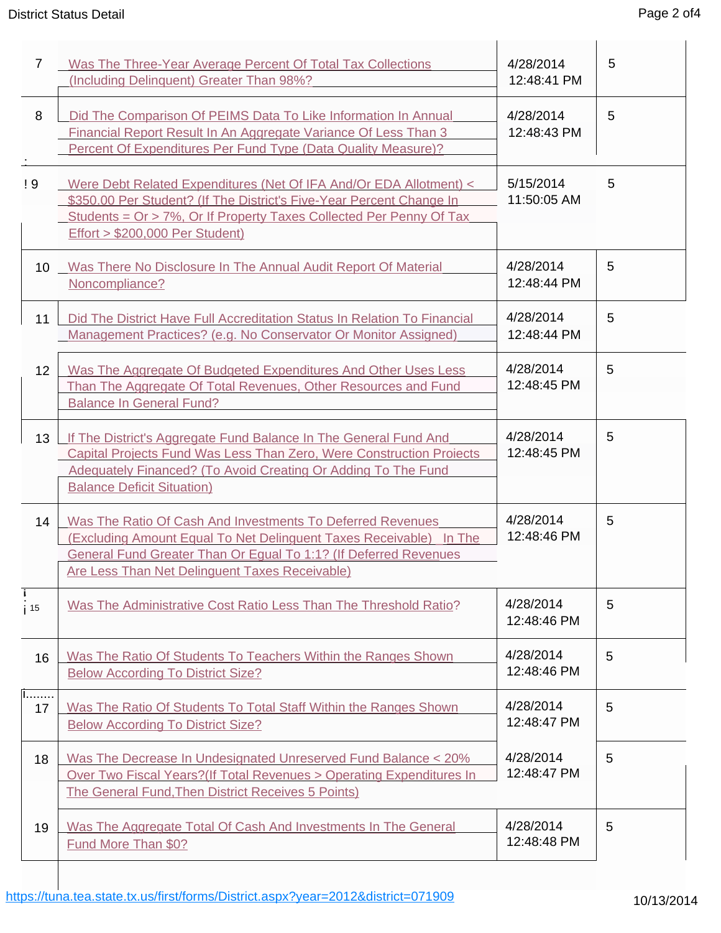# District Status Detail **Page 2 of 4** District Status Detail

| $\overline{7}$        | Was The Three-Year Average Percent Of Total Tax Collections<br>(Including Delinquent) Greater Than 98%?                                                                                                                                                                  | 4/28/2014<br>12:48:41 PM | 5 |
|-----------------------|--------------------------------------------------------------------------------------------------------------------------------------------------------------------------------------------------------------------------------------------------------------------------|--------------------------|---|
| 8                     | Did The Comparison Of PEIMS Data To Like Information In Annual<br>Financial Report Result In An Aggregate Variance Of Less Than 3<br>Percent Of Expenditures Per Fund Type (Data Quality Measure)?                                                                       | 4/28/2014<br>12:48:43 PM | 5 |
| ! 9                   | Were Debt Related Expenditures (Net Of IFA And/Or EDA Allotment) <<br>\$350.00 Per Student? (If The District's Five-Year Percent Change In<br><u>Students = Or &gt; 7%, Or If Property Taxes Collected Per Penny Of Tax</u><br><b>Effort &gt; \$200,000 Per Student)</b> | 5/15/2014<br>11:50:05 AM | 5 |
| 10 <sup>°</sup>       | Was There No Disclosure In The Annual Audit Report Of Material<br>Noncompliance?                                                                                                                                                                                         | 4/28/2014<br>12:48:44 PM | 5 |
| 11                    | Did The District Have Full Accreditation Status In Relation To Financial<br>Management Practices? (e.g. No Conservator Or Monitor Assigned)                                                                                                                              | 4/28/2014<br>12:48:44 PM | 5 |
| 12 <sup>2</sup>       | Was The Aggregate Of Budgeted Expenditures And Other Uses Less<br>Than The Aggregate Of Total Revenues, Other Resources and Fund<br><b>Balance In General Fund?</b>                                                                                                      | 4/28/2014<br>12:48:45 PM | 5 |
| 13                    | If The District's Aggregate Fund Balance In The General Fund And<br>Capital Projects Fund Was Less Than Zero, Were Construction Projects<br>Adequately Financed? (To Avoid Creating Or Adding To The Fund<br><b>Balance Deficit Situation)</b>                           | 4/28/2014<br>12:48:45 PM | 5 |
| 14                    | Was The Ratio Of Cash And Investments To Deferred Revenues<br>(Excluding Amount Equal To Net Delinguent Taxes Receivable) In The<br><b>General Fund Greater Than Or Equal To 1:1? (If Deferred Revenues</b><br><b>Are Less Than Net Delinguent Taxes Receivable)</b>     | 4/28/2014<br>12:48:46 PM | 5 |
| i.<br>i <sub>15</sub> | Was The Administrative Cost Ratio Less Than The Threshold Ratio?                                                                                                                                                                                                         | 4/28/2014<br>12:48:46 PM | 5 |
| 16                    | Was The Ratio Of Students To Teachers Within the Ranges Shown<br><b>Below According To District Size?</b>                                                                                                                                                                | 4/28/2014<br>12:48:46 PM | 5 |
| 1.<br>17              | Was The Ratio Of Students To Total Staff Within the Ranges Shown<br><b>Below According To District Size?</b>                                                                                                                                                             | 4/28/2014<br>12:48:47 PM | 5 |
| 18                    | Was The Decrease In Undesignated Unreserved Fund Balance < 20%<br>Over Two Fiscal Years? (If Total Revenues > Operating Expenditures In<br>The General Fund, Then District Receives 5 Points)                                                                            | 4/28/2014<br>12:48:47 PM | 5 |
| 19                    | Was The Aggregate Total Of Cash And Investments In The General<br>Fund More Than \$0?                                                                                                                                                                                    | 4/28/2014<br>12:48:48 PM | 5 |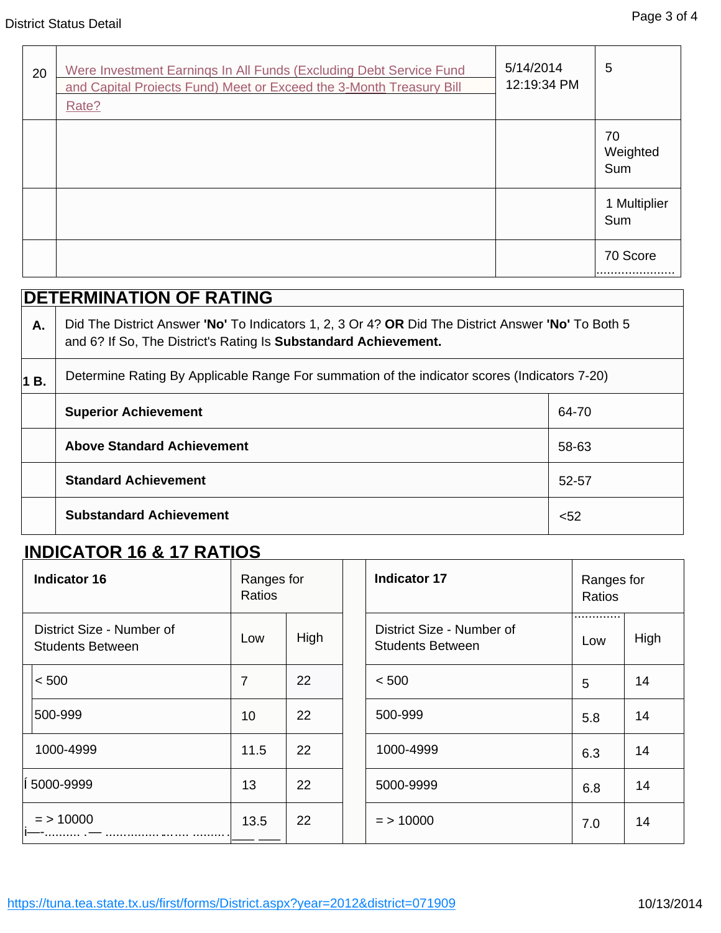| 20 | Were Investment Earnings In All Funds (Excluding Debt Service Fund<br>and Capital Proiects Fund) Meet or Exceed the 3-Month Treasury Bill<br>Rate? | 5/14/2014<br>12:19:34 PM | 5                     |
|----|----------------------------------------------------------------------------------------------------------------------------------------------------|--------------------------|-----------------------|
|    |                                                                                                                                                    |                          | 70<br>Weighted<br>Sum |
|    |                                                                                                                                                    |                          | 1 Multiplier<br>Sum   |
|    |                                                                                                                                                    |                          | 70 Score              |

|    | <b>DETERMINATION OF RATING</b>                                                                                                                                        |       |  |  |  |  |
|----|-----------------------------------------------------------------------------------------------------------------------------------------------------------------------|-------|--|--|--|--|
| Α. | Did The District Answer 'No' To Indicators 1, 2, 3 Or 4? OR Did The District Answer 'No' To Both 5<br>and 6? If So, The District's Rating Is Substandard Achievement. |       |  |  |  |  |
| В. | Determine Rating By Applicable Range For summation of the indicator scores (Indicators 7-20)                                                                          |       |  |  |  |  |
|    | <b>Superior Achievement</b>                                                                                                                                           | 64-70 |  |  |  |  |
|    | <b>Above Standard Achievement</b>                                                                                                                                     | 58-63 |  |  |  |  |
|    | <b>Standard Achievement</b>                                                                                                                                           | 52-57 |  |  |  |  |
|    | <b>Substandard Achievement</b>                                                                                                                                        | $52$  |  |  |  |  |

# **INDICATOR 16 & 17 RATIOS**

| <b>Indicator 16</b>                                  | Ranges for<br>Ratios |      | <b>Indicator 17</b>                                  | Ranges for<br>Ratios |      |
|------------------------------------------------------|----------------------|------|------------------------------------------------------|----------------------|------|
| District Size - Number of<br><b>Students Between</b> | Low                  | High | District Size - Number of<br><b>Students Between</b> | .<br>Low             | High |
| < 500                                                | $\overline{7}$       | 22   | < 500                                                | 5                    | 14   |
| 500-999                                              | 10                   | 22   | 500-999                                              | 5.8                  | 14   |
| 1000-4999                                            | 11.5                 | 22   | 1000-4999                                            | 6.3                  | 14   |
| 5000-9999                                            | 13                   | 22   | 5000-9999                                            | 6.8                  | 14   |
| $=$ > 10000                                          | 13.5                 | 22   | $=$ > 10000                                          | 7.0                  | 14   |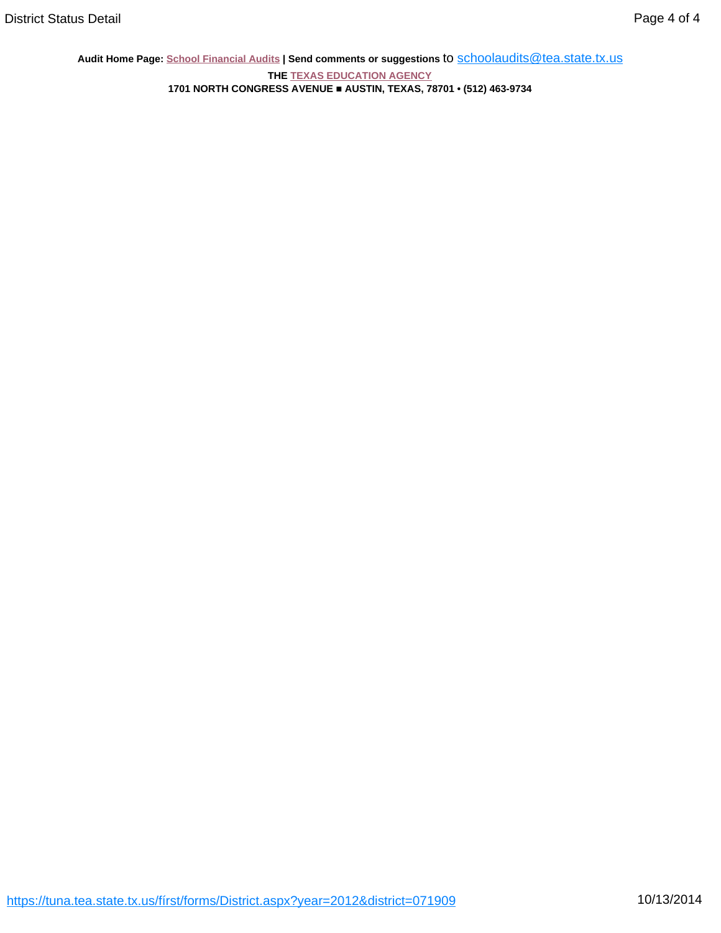**Audit Home Page: School Financial Audits | Send comments or suggestions** to [schoolaudits@tea.state.tx.us](mailto:schoolaudits@tea.state.tx.us)

**THE TEXAS EDUCATION AGENCY 1701 NORTH CONGRESS AVENUE ■ AUSTIN, TEXAS, 78701 • (512) 463-9734**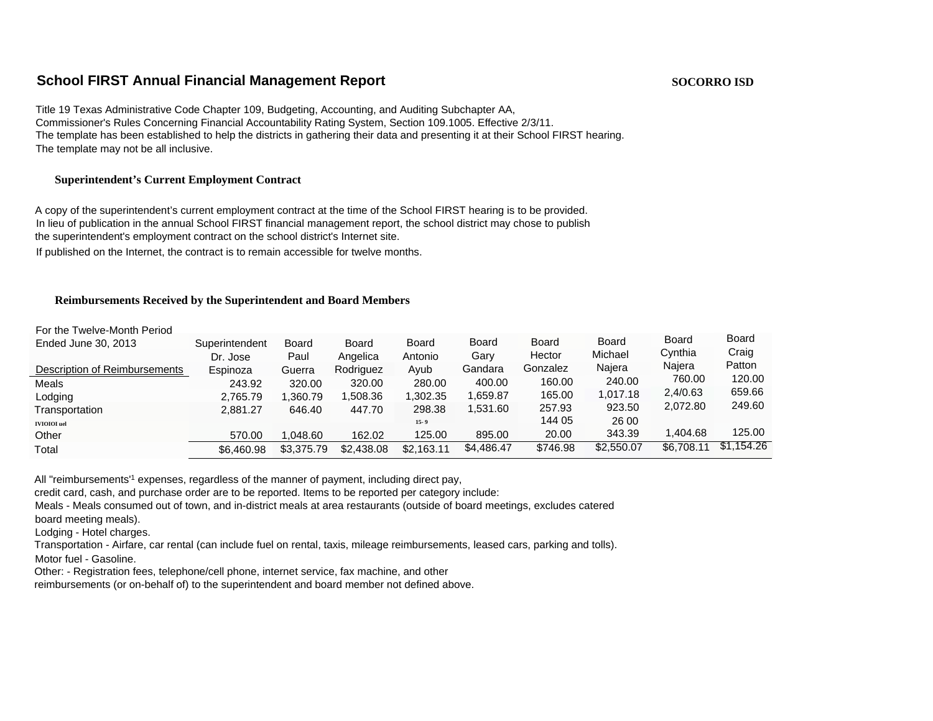### **School FIRST Annual Financial Management Report SOCORRO ISD SOCORRO ISD**

Title 19 Texas Administrative Code Chapter 109, Budgeting, Accounting, and Auditing Subchapter AA, Commissioner's Rules Concerning Financial Accountability Rating System, Section 109.1005. Effective 2/3/11. The template has been established to help the districts in gathering their data and presenting it at their School FIRST hearing. The template may not be all inclusive.

#### **Superintendent's Current Employment Contract**

A copy of the superintendent's current employment contract at the time of the School FIRST hearing is to be provided. In lieu of publication in the annual School FIRST financial management report, the school district may chose to publish the superintendent's employment contract on the school district's Internet site.

If published on the Internet, the contract is to remain accessible for twelve months.

#### **Reimbursements Received by the Superintendent and Board Members**

| For the Twelve-Month Period   |                            |                      |                   |                         |                      |                 |                         |                         |                       |
|-------------------------------|----------------------------|----------------------|-------------------|-------------------------|----------------------|-----------------|-------------------------|-------------------------|-----------------------|
| Ended June 30, 2013           | Superintendent<br>Dr. Jose | <b>Board</b><br>Paul | Board<br>Angelica | <b>Board</b><br>Antonio | <b>Board</b><br>Gary | Board<br>Hector | <b>Board</b><br>Michael | <b>Board</b><br>Cynthia | <b>Board</b><br>Craig |
| Description of Reimbursements | Espinoza                   | Guerra               | Rodriguez         | Ayub                    | Gandara              | Gonzalez        | Najera                  | Najera                  | Patton                |
| Meals                         | 243.92                     | 320.00               | 320.00            | 280.00                  | 400.00               | 160.00          | 240.00                  | 760.00                  | 120.00                |
| Lodging                       | 2,765.79                   | .360.79              | .508.36           | 1,302.35                | .659.87              | 165.00          | 1.017.18                | 2.4/0.63                | 659.66                |
| Transportation                | 2.881.27                   | 646.40               | 447.70            | 298.38                  | 1.531.60             | 257.93          | 923.50                  | 2.072.80                | 249.60                |
| IVIOIOI uel                   |                            |                      |                   | $15 - 9$                |                      | 144 05          | 26 00                   |                         |                       |
| Other                         | 570.00                     | 1.048.60             | 162.02            | 125.00                  | 895.00               | 20.00           | 343.39                  | 1.404.68                | 125.00                |
| Total                         | \$6,460.98                 | \$3,375.79           | \$2,438.08        | \$2,163.11              | \$4,486.47           | \$746.98        | \$2,550.07              | \$6,708.11              | \$1,154.26            |
|                               |                            |                      |                   |                         |                      |                 |                         |                         |                       |

All "reimbursements'<sup>1</sup> expenses, regardless of the manner of payment, including direct pay,

credit card, cash, and purchase order are to be reported. Items to be reported per category include:

Meals - Meals consumed out of town, and in-district meals at area restaurants (outside of board meetings, excludes catered

board meeting meals).

Lodging - Hotel charges.

Transportation - Airfare, car rental (can include fuel on rental, taxis, mileage reimbursements, leased cars, parking and tolls).

Motor fuel - Gasoline.

Other: - Registration fees, telephone/cell phone, internet service, fax machine, and other

reimbursements (or on-behalf of) to the superintendent and board member not defined above.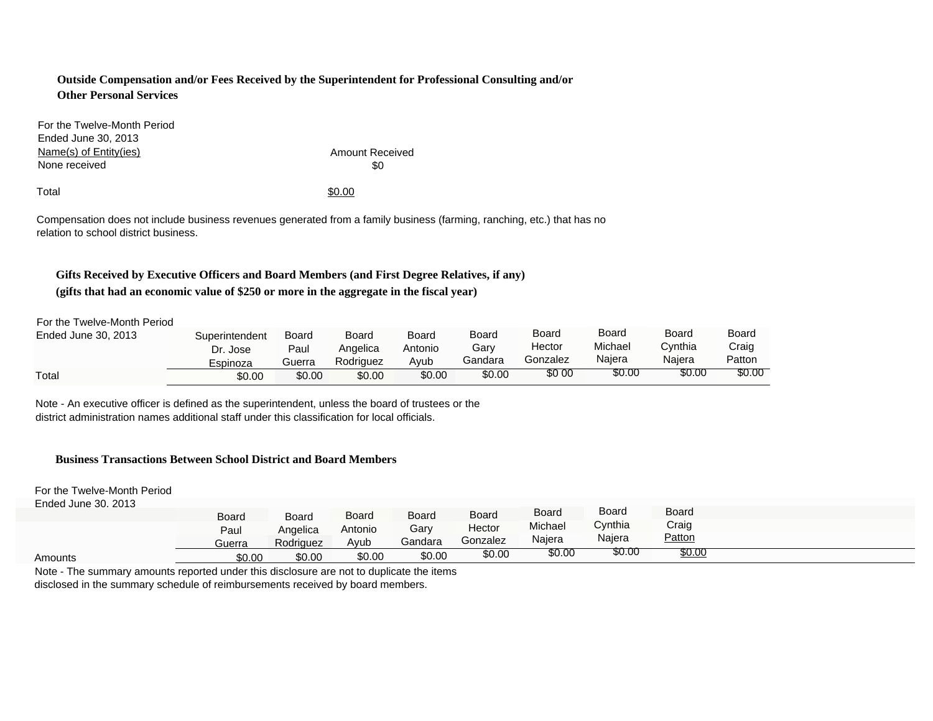#### **Outside Compensation and/or Fees Received by the Superintendent for Professional Consulting and/or Other Personal Services**

For the Twelve-Month Period Ended June 30, 2013 Name(s) of Entity(ies) None received

Amount Received  $$0$ 

 $\text{Total}$ 

Compensation does not include business revenues generated from a family business (farming, ranching, etc.) that has no relation to school district business.

# **Gifts Received by Executive Officers and Board Members (and First Degree Relatives, if any)**

#### **(gifts that had an economic value of \$250 or more in the aggregate in the fiscal year)**

For the Twelve-Month Period

| Ended June 30, 2013 | Superintendent | Board  | Board     | Board   | Board   | Board    | Board   | Board   | Board  |
|---------------------|----------------|--------|-----------|---------|---------|----------|---------|---------|--------|
|                     | Dr. Jose       | Paul   | Angelica  | Antonio | Garv    | Hector   | Michael | Cynthia | Craig  |
|                     | Espinoza       | Guerra | Rodriguez | Avub    | Gandara | Gonzalez | Naiera  | Naiera  | Patton |
| Total               | \$0.00         | \$0.00 | \$0.00    | \$0.00  | \$0.00  | \$0 00   | \$0.00  | \$0.00  | \$0.00 |

Note - An executive officer is defined as the superintendent, unless the board of trustees or the district administration names additional staff under this classification for local officials.

#### **Business Transactions Between School District and Board Members**

For the Twelve-Month Period

| Ended June 30, 2013 |        |           |              |         |          |         |         |              |  |
|---------------------|--------|-----------|--------------|---------|----------|---------|---------|--------------|--|
|                     | Board  | Board     | <b>Board</b> | Board   | Board    | Board   | Board   | <b>Board</b> |  |
|                     | Paul   | Angelica  | Antonio      | Gary    | Hector   | Michael | Cvnthia | Craig        |  |
|                     | Guerra | Rodriguez | Ayub         | Gandara | Gonzalez | Najera  | Najera  | Patton       |  |
|                     |        |           |              |         |          |         |         |              |  |
| Amounts             | \$0.00 | \$0.00    | \$0.00       | \$0.00  | \$0.00   | \$0.00  | \$0.00  | \$0.00       |  |

Note - The summary amounts reported under this disclosure are not to duplicate the items disclosed in the summary schedule of reimbursements received by board members.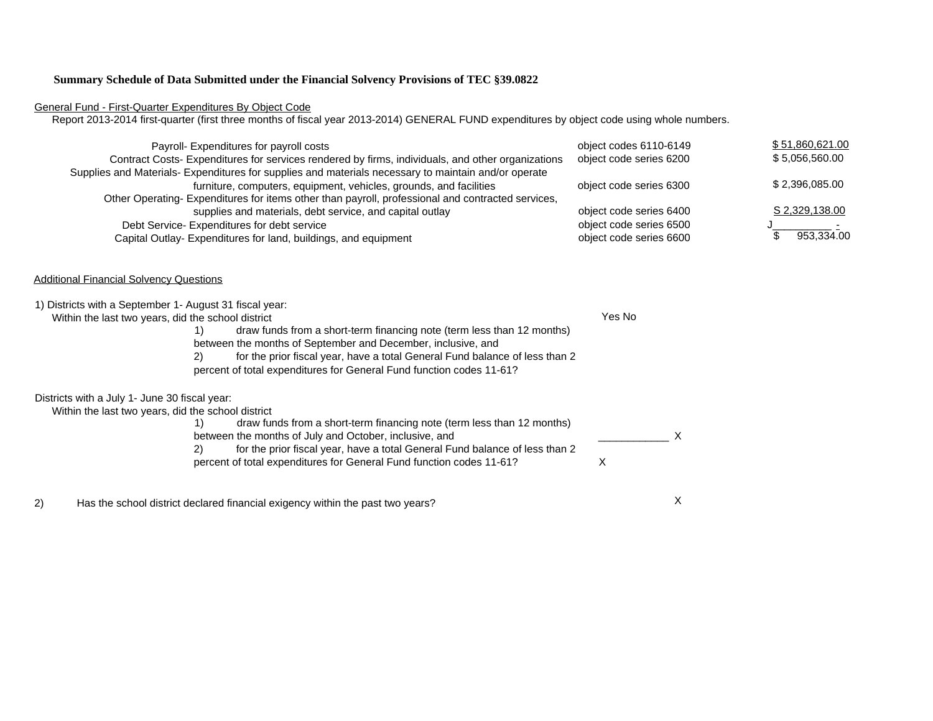#### **Summary Schedule of Data Submitted under the Financial Solvency Provisions of TEC §39.0822**

#### General Fund - First-Quarter Expenditures By Object Code

Report 2013-2014 first-quarter (first three months of fiscal year 2013-2014) GENERAL FUND expenditures by object code using whole numbers.

| Payroll- Expenditures for payroll costs<br>Contract Costs- Expenditures for services rendered by firms, individuals, and other organizations | object codes 6110-6149<br>object code series 6200 | \$51,860,621.00<br>\$5,056,560.00 |
|----------------------------------------------------------------------------------------------------------------------------------------------|---------------------------------------------------|-----------------------------------|
| Supplies and Materials- Expenditures for supplies and materials necessary to maintain and/or operate                                         |                                                   |                                   |
| furniture, computers, equipment, vehicles, grounds, and facilities                                                                           | object code series 6300                           | \$2,396,085.00                    |
| Other Operating- Expenditures for items other than payroll, professional and contracted services,                                            |                                                   |                                   |
| supplies and materials, debt service, and capital outlay                                                                                     | object code series 6400                           | <u>S 2,329,138.00</u>             |
| Debt Service-Expenditures for debt service                                                                                                   | object code series 6500                           |                                   |
| Capital Outlay- Expenditures for land, buildings, and equipment                                                                              | object code series 6600                           | 953.334.00                        |

#### Additional Financial Solvency Questions

| 1) Districts with a September 1- August 31 fiscal year: |                                                                                   |        |  |
|---------------------------------------------------------|-----------------------------------------------------------------------------------|--------|--|
| Within the last two years, did the school district      |                                                                                   | Yes No |  |
|                                                         | draw funds from a short-term financing note (term less than 12 months)            |        |  |
|                                                         | between the months of September and December, inclusive, and                      |        |  |
|                                                         | for the prior fiscal year, have a total General Fund balance of less than 2<br>2) |        |  |
|                                                         | percent of total expenditures for General Fund function codes 11-61?              |        |  |
| Districts with a July 1- June 30 fiscal year:           |                                                                                   |        |  |
| Within the last two years, did the school district      |                                                                                   |        |  |
|                                                         | draw funds from a short-term financing note (term less than 12 months)            |        |  |
|                                                         | between the months of July and October, inclusive, and                            |        |  |
|                                                         | for the prior fiscal year, have a total General Fund balance of less than 2<br>2) |        |  |
|                                                         | percent of total expenditures for General Fund function codes 11-61?              |        |  |
|                                                         |                                                                                   |        |  |

2) Has the school district declared financial exigency within the past two years?